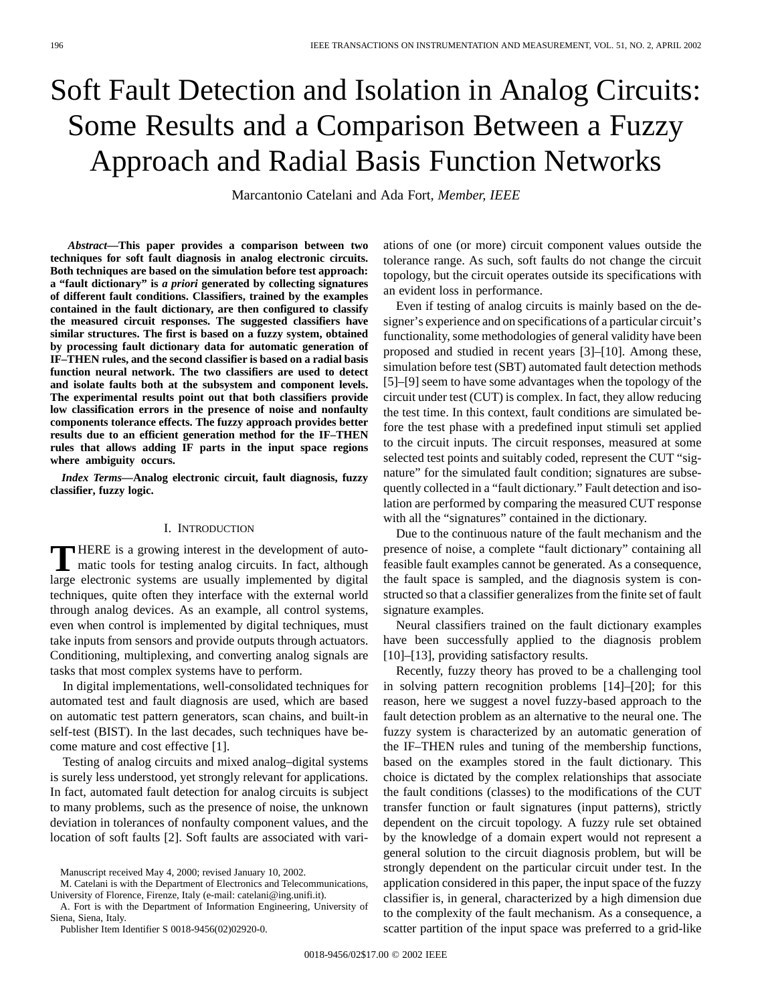# Soft Fault Detection and Isolation in Analog Circuits: Some Results and a Comparison Between a Fuzzy Approach and Radial Basis Function Networks

Marcantonio Catelani and Ada Fort*, Member, IEEE*

*Abstract—***This paper provides a comparison between two techniques for soft fault diagnosis in analog electronic circuits. Both techniques are based on the simulation before test approach: a "fault dictionary" is** *a priori* **generated by collecting signatures of different fault conditions. Classifiers, trained by the examples contained in the fault dictionary, are then configured to classify the measured circuit responses. The suggested classifiers have similar structures. The first is based on a fuzzy system, obtained by processing fault dictionary data for automatic generation of IF–THEN rules, and the second classifier is based on a radial basis function neural network. The two classifiers are used to detect and isolate faults both at the subsystem and component levels. The experimental results point out that both classifiers provide low classification errors in the presence of noise and nonfaulty components tolerance effects. The fuzzy approach provides better results due to an efficient generation method for the IF–THEN rules that allows adding IF parts in the input space regions where ambiguity occurs.**

*Index Terms—***Analog electronic circuit, fault diagnosis, fuzzy classifier, fuzzy logic.**

## I. INTRODUCTION

**T** HERE is a growing interest in the development of auto-<br>matic tools for testing analog circuits. In fact, although<br>lange alectronic output and integrated by distribution large electronic systems are usually implemented by digital techniques, quite often they interface with the external world through analog devices. As an example, all control systems, even when control is implemented by digital techniques, must take inputs from sensors and provide outputs through actuators. Conditioning, multiplexing, and converting analog signals are tasks that most complex systems have to perform.

In digital implementations, well-consolidated techniques for automated test and fault diagnosis are used, which are based on automatic test pattern generators, scan chains, and built-in self-test (BIST). In the last decades, such techniques have become mature and cost effective [1].

Testing of analog circuits and mixed analog–digital systems is surely less understood, yet strongly relevant for applications. In fact, automated fault detection for analog circuits is subject to many problems, such as the presence of noise, the unknown deviation in tolerances of nonfaulty component values, and the location of soft faults [2]. Soft faults are associated with vari-

Publisher Item Identifier S 0018-9456(02)02920-0.

ations of one (or more) circuit component values outside the tolerance range. As such, soft faults do not change the circuit topology, but the circuit operates outside its specifications with an evident loss in performance.

Even if testing of analog circuits is mainly based on the designer's experience and on specifications of a particular circuit's functionality, some methodologies of general validity have been proposed and studied in recent years [3]–[10]. Among these, simulation before test (SBT) automated fault detection methods [5]–[9] seem to have some advantages when the topology of the circuit under test (CUT) is complex. In fact, they allow reducing the test time. In this context, fault conditions are simulated before the test phase with a predefined input stimuli set applied to the circuit inputs. The circuit responses, measured at some selected test points and suitably coded, represent the CUT "signature" for the simulated fault condition; signatures are subsequently collected in a "fault dictionary." Fault detection and isolation are performed by comparing the measured CUT response with all the "signatures" contained in the dictionary.

Due to the continuous nature of the fault mechanism and the presence of noise, a complete "fault dictionary" containing all feasible fault examples cannot be generated. As a consequence, the fault space is sampled, and the diagnosis system is constructed so that a classifier generalizes from the finite set of fault signature examples.

Neural classifiers trained on the fault dictionary examples have been successfully applied to the diagnosis problem [10]–[13], providing satisfactory results.

Recently, fuzzy theory has proved to be a challenging tool in solving pattern recognition problems [14]–[20]; for this reason, here we suggest a novel fuzzy-based approach to the fault detection problem as an alternative to the neural one. The fuzzy system is characterized by an automatic generation of the IF–THEN rules and tuning of the membership functions, based on the examples stored in the fault dictionary. This choice is dictated by the complex relationships that associate the fault conditions (classes) to the modifications of the CUT transfer function or fault signatures (input patterns), strictly dependent on the circuit topology. A fuzzy rule set obtained by the knowledge of a domain expert would not represent a general solution to the circuit diagnosis problem, but will be strongly dependent on the particular circuit under test. In the application considered in this paper, the input space of the fuzzy classifier is, in general, characterized by a high dimension due to the complexity of the fault mechanism. As a consequence, a scatter partition of the input space was preferred to a grid-like

Manuscript received May 4, 2000; revised January 10, 2002.

M. Catelani is with the Department of Electronics and Telecommunications, University of Florence, Firenze, Italy (e-mail: catelani@ing.unifi.it).

A. Fort is with the Department of Information Engineering, University of Siena, Siena, Italy.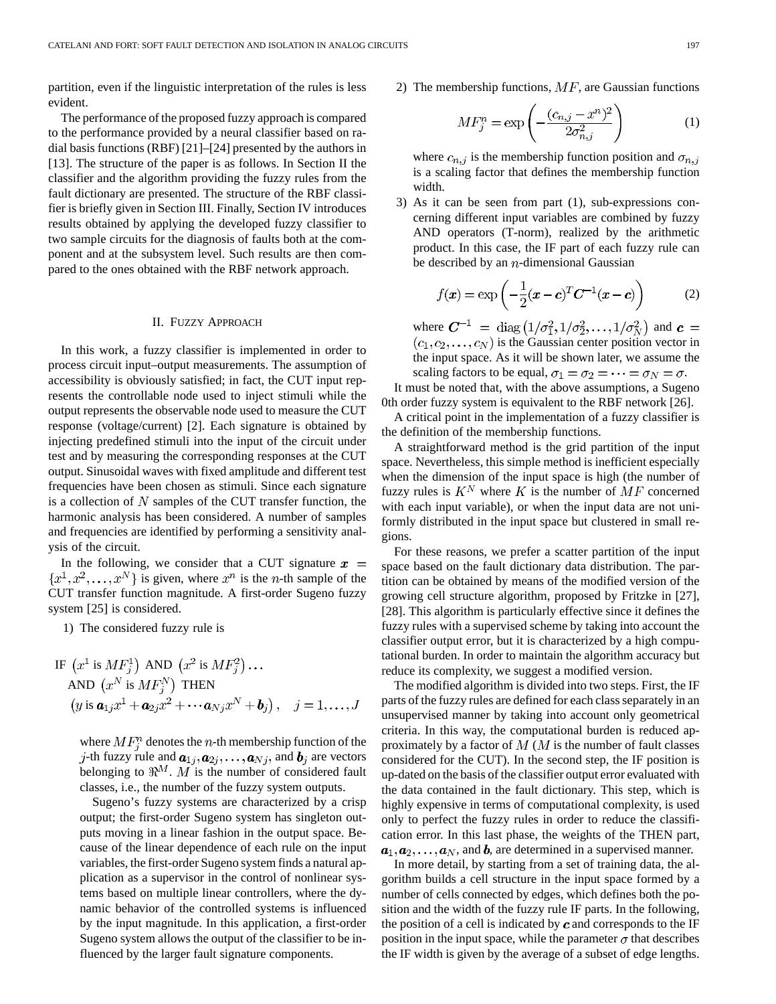partition, even if the linguistic interpretation of the rules is less evident.

The performance of the proposed fuzzy approach is compared to the performance provided by a neural classifier based on radial basis functions (RBF) [21]–[24] presented by the authors in [13]. The structure of the paper is as follows. In Section II the classifier and the algorithm providing the fuzzy rules from the fault dictionary are presented. The structure of the RBF classifier is briefly given in Section III. Finally, Section IV introduces results obtained by applying the developed fuzzy classifier to two sample circuits for the diagnosis of faults both at the component and at the subsystem level. Such results are then compared to the ones obtained with the RBF network approach.

# II. FUZZY APPROACH

In this work, a fuzzy classifier is implemented in order to process circuit input–output measurements. The assumption of accessibility is obviously satisfied; in fact, the CUT input represents the controllable node used to inject stimuli while the output represents the observable node used to measure the CUT response (voltage/current) [2]. Each signature is obtained by injecting predefined stimuli into the input of the circuit under test and by measuring the corresponding responses at the CUT output. Sinusoidal waves with fixed amplitude and different test frequencies have been chosen as stimuli. Since each signature is a collection of  $N$  samples of the CUT transfer function, the harmonic analysis has been considered. A number of samples and frequencies are identified by performing a sensitivity analysis of the circuit.

In the following, we consider that a CUT signature  $x =$  ${x^1, x^2, \ldots, x^N}$  is given, where  $x^n$  is the *n*-th sample of the CUT transfer function magnitude. A first-order Sugeno fuzzy system [25] is considered.

1) The considered fuzzy rule is

IF 
$$
(x^1
$$
 is  $MF_j^1$ ) AND  $(x^2$  is  $MF_j^2$ ) ...  
AND  $(x^N$  is  $MF_j^N$ ) THEN  
 $(y$  is  $\mathbf{a}_{1j}x^1 + \mathbf{a}_{2j}x^2 + \cdots + \mathbf{a}_{Nj}x^N + \mathbf{b}_j), \quad j = 1, ..., J$ 

where  $MF_i^n$  denotes the *n*-th membership function of the j-th fuzzy rule and  $a_{1j}, a_{2j}, \ldots, a_{Nj}$ , and  $b_j$  are vectors belonging to  $\mathbb{R}^M$ . M is the number of considered fault classes, i.e., the number of the fuzzy system outputs.

Sugeno's fuzzy systems are characterized by a crisp output; the first-order Sugeno system has singleton outputs moving in a linear fashion in the output space. Because of the linear dependence of each rule on the input variables, the first-order Sugeno system finds a natural application as a supervisor in the control of nonlinear systems based on multiple linear controllers, where the dynamic behavior of the controlled systems is influenced by the input magnitude. In this application, a first-order Sugeno system allows the output of the classifier to be influenced by the larger fault signature components.

2) The membership functions,  $MF$ , are Gaussian functions

$$
MF_j^n = \exp\left(-\frac{(c_{n,j} - x^n)^2}{2\sigma_{n,j}^2}\right) \tag{1}
$$

where  $c_{n,j}$  is the membership function position and  $\sigma_{n,j}$ is a scaling factor that defines the membership function width.

3) As it can be seen from part (1), sub-expressions concerning different input variables are combined by fuzzy AND operators (T-norm), realized by the arithmetic product. In this case, the IF part of each fuzzy rule can be described by an  $n$ -dimensional Gaussian

$$
f(\boldsymbol{x}) = \exp\left(-\frac{1}{2}(\boldsymbol{x} - \boldsymbol{c})^T \boldsymbol{C}^{-1}(\boldsymbol{x} - \boldsymbol{c})\right) \tag{2}
$$

where  $C^{-1}$  = diag  $(1/\sigma_1^2, 1/\sigma_2^2, ..., 1/\sigma_N^2)$  and  $c$  =  $(c_1, c_2, \ldots, c_N)$  is the Gaussian center position vector in the input space. As it will be shown later, we assume the scaling factors to be equal,  $\sigma_1 = \sigma_2 = \cdots = \sigma_N = \sigma$ .

It must be noted that, with the above assumptions, a Sugeno 0th order fuzzy system is equivalent to the RBF network [26].

A critical point in the implementation of a fuzzy classifier is the definition of the membership functions.

A straightforward method is the grid partition of the input space. Nevertheless, this simple method is inefficient especially when the dimension of the input space is high (the number of fuzzy rules is  $K^N$  where K is the number of MF concerned with each input variable), or when the input data are not uniformly distributed in the input space but clustered in small regions.

For these reasons, we prefer a scatter partition of the input space based on the fault dictionary data distribution. The partition can be obtained by means of the modified version of the growing cell structure algorithm, proposed by Fritzke in [27], [28]. This algorithm is particularly effective since it defines the fuzzy rules with a supervised scheme by taking into account the classifier output error, but it is characterized by a high computational burden. In order to maintain the algorithm accuracy but reduce its complexity, we suggest a modified version.

The modified algorithm is divided into two steps. First, the IF parts of the fuzzy rules are defined for each class separately in an unsupervised manner by taking into account only geometrical criteria. In this way, the computational burden is reduced approximately by a factor of  $M(M)$  is the number of fault classes considered for the CUT). In the second step, the IF position is up-dated on the basis of the classifier output error evaluated with the data contained in the fault dictionary. This step, which is highly expensive in terms of computational complexity, is used only to perfect the fuzzy rules in order to reduce the classification error. In this last phase, the weights of the THEN part,  $a_1, a_2, \ldots, a_N$ , and b, are determined in a supervised manner.

In more detail, by starting from a set of training data, the algorithm builds a cell structure in the input space formed by a number of cells connected by edges, which defines both the position and the width of the fuzzy rule IF parts. In the following, the position of a cell is indicated by  $c$  and corresponds to the IF position in the input space, while the parameter  $\sigma$  that describes the IF width is given by the average of a subset of edge lengths.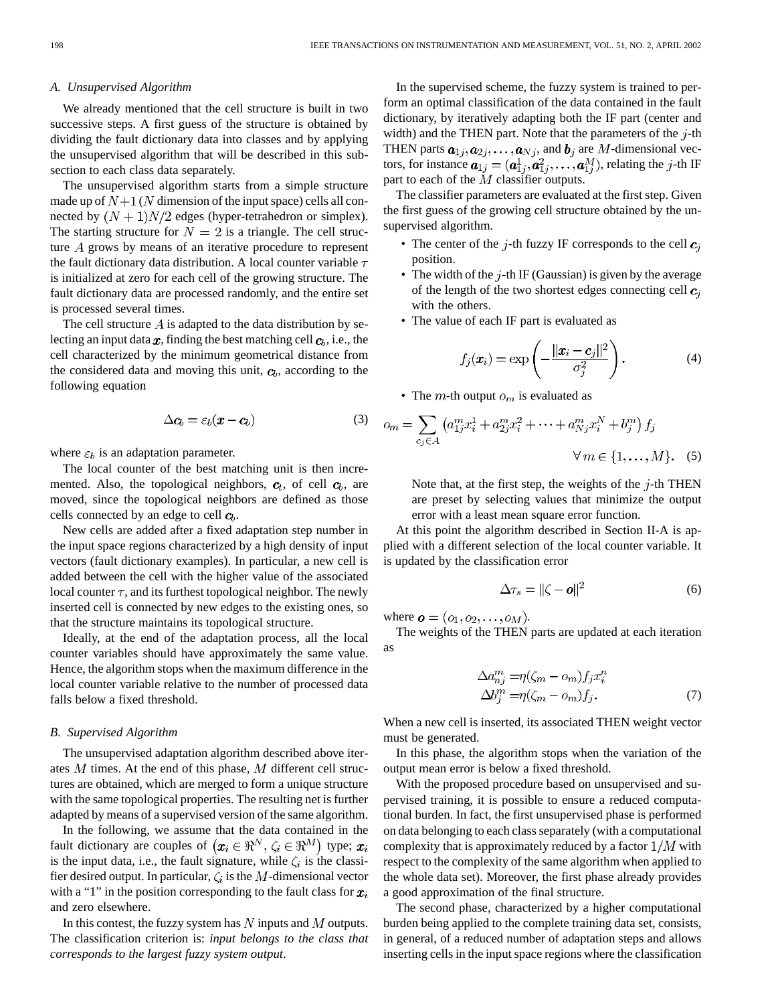### *A. Unsupervised Algorithm*

We already mentioned that the cell structure is built in two successive steps. A first guess of the structure is obtained by dividing the fault dictionary data into classes and by applying the unsupervised algorithm that will be described in this subsection to each class data separately.

The unsupervised algorithm starts from a simple structure made up of  $N+1$  (*N* dimension of the input space) cells all connected by  $(N + 1)N/2$  edges (hyper-tetrahedron or simplex). The starting structure for  $N = 2$  is a triangle. The cell structure  $A$  grows by means of an iterative procedure to represent the fault dictionary data distribution. A local counter variable  $\tau$ is initialized at zero for each cell of the growing structure. The fault dictionary data are processed randomly, and the entire set is processed several times.

The cell structure  $\tilde{A}$  is adapted to the data distribution by selecting an input data  $x$ , finding the best matching cell  $c<sub>b</sub>$ , i.e., the cell characterized by the minimum geometrical distance from the considered data and moving this unit,  $c<sub>b</sub>$ , according to the following equation

$$
\Delta c_b = \varepsilon_b (\pmb{x} - \pmb{c}_b) \tag{3}
$$

where  $\varepsilon_b$  is an adaptation parameter.

The local counter of the best matching unit is then incremented. Also, the topological neighbors,  $c_t$ , of cell  $c_b$ , are moved, since the topological neighbors are defined as those cells connected by an edge to cell  $c<sub>b</sub>$ .

New cells are added after a fixed adaptation step number in the input space regions characterized by a high density of input vectors (fault dictionary examples). In particular, a new cell is added between the cell with the higher value of the associated local counter  $\tau$ , and its furthest topological neighbor. The newly inserted cell is connected by new edges to the existing ones, so that the structure maintains its topological structure.

Ideally, at the end of the adaptation process, all the local counter variables should have approximately the same value. Hence, the algorithm stops when the maximum difference in the local counter variable relative to the number of processed data falls below a fixed threshold.

#### *B. Supervised Algorithm*

The unsupervised adaptation algorithm described above iterates  $M$  times. At the end of this phase,  $M$  different cell structures are obtained, which are merged to form a unique structure with the same topological properties. The resulting net is further adapted by means of a supervised version of the same algorithm.

In the following, we assume that the data contained in the fault dictionary are couples of  $(x_i \in \mathbb{R}^N, \zeta_i \in \mathbb{R}^M)$  type;  $x_i$ is the input data, i.e., the fault signature, while  $\zeta_i$  is the classifier desired output. In particular,  $\zeta_i$  is the M-dimensional vector with a "1" in the position corresponding to the fault class for  $x_i$ and zero elsewhere.

In this contest, the fuzzy system has N inputs and M outputs. The classification criterion is: *input belongs to the class that corresponds to the largest fuzzy system output*.

In the supervised scheme, the fuzzy system is trained to perform an optimal classification of the data contained in the fault dictionary, by iteratively adapting both the IF part (center and width) and the THEN part. Note that the parameters of the  $i$ -th THEN parts  $a_{1i}, a_{2i}, \ldots, a_{Ni}$ , and  $b_i$  are M-dimensional vectors, for instance  $\mathbf{a}_{1j} = (\mathbf{a}_{1j}^1, \mathbf{a}_{1j}^2, \dots, \mathbf{a}_{1j}^M)$ , relating the j-th IF part to each of the  $M$  classifier outputs.

The classifier parameters are evaluated at the first step. Given the first guess of the growing cell structure obtained by the unsupervised algorithm.

- The center of the j-th fuzzy IF corresponds to the cell  $c_i$ position.
- The width of the  $j$ -th IF (Gaussian) is given by the average of the length of the two shortest edges connecting cell  $c_i$ with the others.
- The value of each IF part is evaluated as

$$
f_j(\boldsymbol{x}_i) = \exp\left(-\frac{\|\boldsymbol{x}_i - \boldsymbol{c}_j\|^2}{\sigma_j^2}\right).
$$
 (4)

• The  $m$ -th output  $o_m$  is evaluated as

$$
o_m = \sum_{c_j \in A} \left( a_{1j}^m x_i^1 + a_{2j}^m x_i^2 + \dots + a_{Nj}^m x_i^N + b_j^m \right) f_j
$$
  

$$
\forall m \in \{1, \dots, M\}.
$$
 (5)

Note that, at the first step, the weights of the  $j$ -th THEN are preset by selecting values that minimize the output error with a least mean square error function.

At this point the algorithm described in Section II-A is applied with a different selection of the local counter variable. It is updated by the classification error

$$
\Delta \tau_s = ||\zeta - \mathbf{o}||^2 \tag{6}
$$

where  $\mathbf{o} = (o_1, o_2, \dots, o_M)$ .

The weights of the THEN parts are updated at each iteration as

$$
\Delta a_{nj}^m = \eta(\zeta_m - o_m) f_j x_i^n
$$
  
\n
$$
\Delta b_j^m = \eta(\zeta_m - o_m) f_j.
$$
\n(7)

When a new cell is inserted, its associated THEN weight vector must be generated.

In this phase, the algorithm stops when the variation of the output mean error is below a fixed threshold.

With the proposed procedure based on unsupervised and supervised training, it is possible to ensure a reduced computational burden. In fact, the first unsupervised phase is performed on data belonging to each class separately (with a computational complexity that is approximately reduced by a factor  $1/M$  with respect to the complexity of the same algorithm when applied to the whole data set). Moreover, the first phase already provides a good approximation of the final structure.

The second phase, characterized by a higher computational burden being applied to the complete training data set, consists, in general, of a reduced number of adaptation steps and allows inserting cells in the input space regions where the classification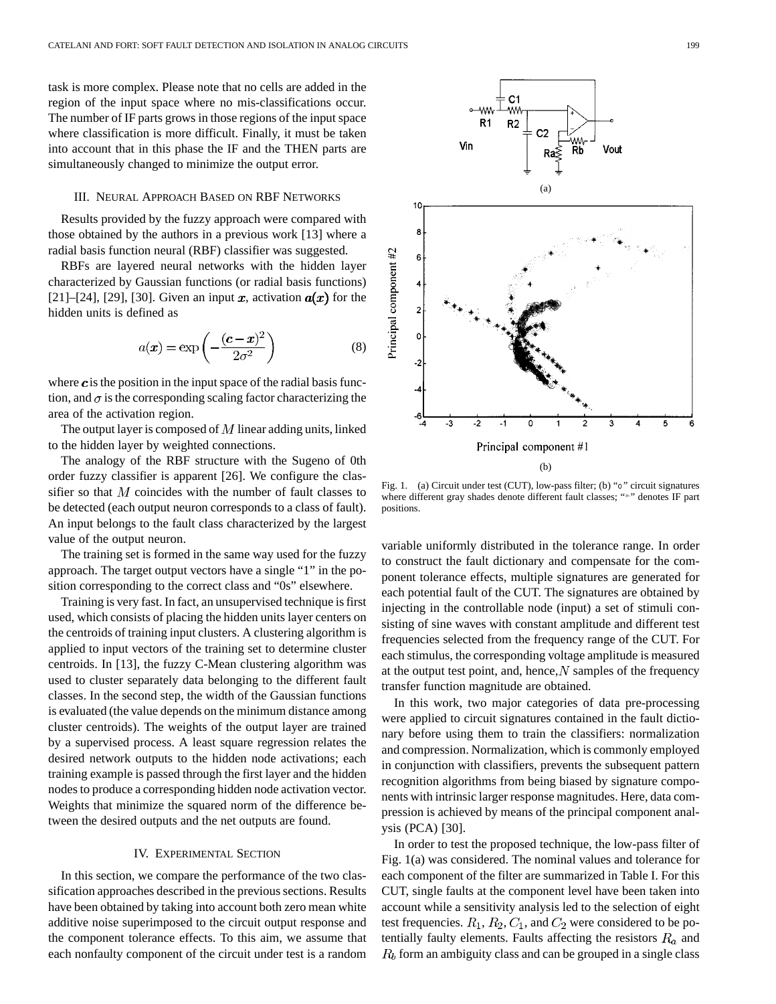task is more complex. Please note that no cells are added in the region of the input space where no mis-classifications occur. The number of IF parts grows in those regions of the input space where classification is more difficult. Finally, it must be taken into account that in this phase the IF and the THEN parts are simultaneously changed to minimize the output error.

# III. NEURAL APPROACH BASED ON RBF NETWORKS

Results provided by the fuzzy approach were compared with those obtained by the authors in a previous work [13] where a radial basis function neural (RBF) classifier was suggested.

RBFs are layered neural networks with the hidden layer characterized by Gaussian functions (or radial basis functions) [21]–[24], [29], [30]. Given an input x, activation  $a(x)$  for the hidden units is defined as

$$
a(x) = \exp\left(-\frac{(\mathbf{c} - \mathbf{x})^2}{2\sigma^2}\right) \tag{8}
$$

where  $c$  is the position in the input space of the radial basis function, and  $\sigma$  is the corresponding scaling factor characterizing the area of the activation region.

The output layer is composed of  $M$  linear adding units, linked to the hidden layer by weighted connections.

The analogy of the RBF structure with the Sugeno of 0th order fuzzy classifier is apparent [26]. We configure the classifier so that  $M$  coincides with the number of fault classes to be detected (each output neuron corresponds to a class of fault). An input belongs to the fault class characterized by the largest value of the output neuron.

The training set is formed in the same way used for the fuzzy approach. The target output vectors have a single "1" in the position corresponding to the correct class and "0s" elsewhere.

Training is very fast. In fact, an unsupervised technique is first used, which consists of placing the hidden units layer centers on the centroids of training input clusters. A clustering algorithm is applied to input vectors of the training set to determine cluster centroids. In [13], the fuzzy C-Mean clustering algorithm was used to cluster separately data belonging to the different fault classes. In the second step, the width of the Gaussian functions is evaluated (the value depends on the minimum distance among cluster centroids). The weights of the output layer are trained by a supervised process. A least square regression relates the desired network outputs to the hidden node activations; each training example is passed through the first layer and the hidden nodes to produce a corresponding hidden node activation vector. Weights that minimize the squared norm of the difference between the desired outputs and the net outputs are found.

## IV. EXPERIMENTAL SECTION

In this section, we compare the performance of the two classification approaches described in the previous sections. Results have been obtained by taking into account both zero mean white additive noise superimposed to the circuit output response and the component tolerance effects. To this aim, we assume that each nonfaulty component of the circuit under test is a random



Fig. 1. (a) Circuit under test (CUT), low-pass filter; (b) " $\circ$ " circuit signatures where different gray shades denote different fault classes; "\*" denotes IF part positions.

variable uniformly distributed in the tolerance range. In order to construct the fault dictionary and compensate for the component tolerance effects, multiple signatures are generated for each potential fault of the CUT. The signatures are obtained by injecting in the controllable node (input) a set of stimuli consisting of sine waves with constant amplitude and different test frequencies selected from the frequency range of the CUT. For each stimulus, the corresponding voltage amplitude is measured at the output test point, and, hence,  $N$  samples of the frequency transfer function magnitude are obtained.

In this work, two major categories of data pre-processing were applied to circuit signatures contained in the fault dictionary before using them to train the classifiers: normalization and compression. Normalization, which is commonly employed in conjunction with classifiers, prevents the subsequent pattern recognition algorithms from being biased by signature components with intrinsic larger response magnitudes. Here, data compression is achieved by means of the principal component analysis (PCA) [30].

In order to test the proposed technique, the low-pass filter of Fig. 1(a) was considered. The nominal values and tolerance for each component of the filter are summarized in Table I. For this CUT, single faults at the component level have been taken into account while a sensitivity analysis led to the selection of eight test frequencies.  $R_1$ ,  $R_2$ ,  $C_1$ , and  $C_2$  were considered to be potentially faulty elements. Faults affecting the resistors  $R_a$  and  $R_b$  form an ambiguity class and can be grouped in a single class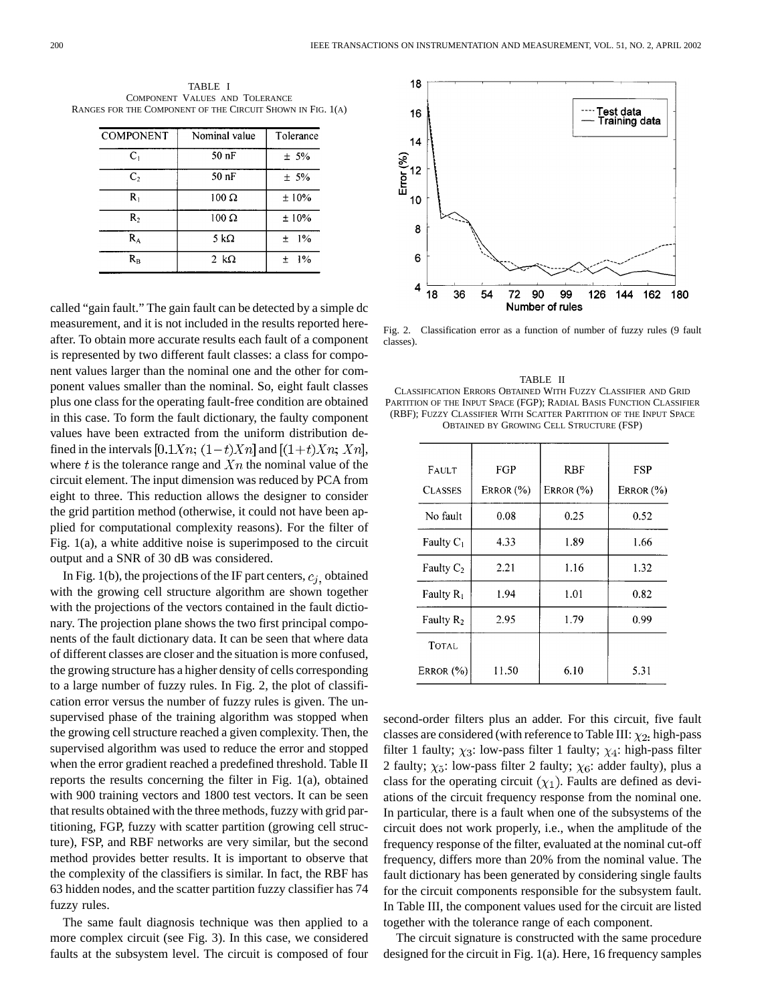TABLE I COMPONENT VALUES AND TOLERANCE RANGES FOR THE COMPONENT OF THE CIRCUIT SHOWN IN FIG. 1(A)

| <b>COMPONENT</b>          | Nominal value | Tolerance |
|---------------------------|---------------|-----------|
| $C_{1}$                   | 50 nF         | $± 5\%$   |
| $\mathsf{C}_{2}$          | 50 nF         | $± 5\%$   |
| $R_1$                     | $100 \Omega$  | ±10%      |
| R,                        | $100 \Omega$  | ±10%      |
| $\rm R_{A}$               | 5 k $\Omega$  | 1%<br>$+$ |
| $\mathtt{R}_{\mathtt{R}}$ | 2 k $\Omega$  | 1%        |

called "gain fault." The gain fault can be detected by a simple dc measurement, and it is not included in the results reported hereafter. To obtain more accurate results each fault of a component is represented by two different fault classes: a class for component values larger than the nominal one and the other for component values smaller than the nominal. So, eight fault classes plus one class for the operating fault-free condition are obtained in this case. To form the fault dictionary, the faulty component values have been extracted from the uniform distribution defined in the intervals [0.1Xn;  $(1-t)Xn$ ] and  $[(1+t)Xn; Xn]$ , where t is the tolerance range and  $X_n$  the nominal value of the circuit element. The input dimension was reduced by PCA from eight to three. This reduction allows the designer to consider the grid partition method (otherwise, it could not have been applied for computational complexity reasons). For the filter of Fig. 1(a), a white additive noise is superimposed to the circuit output and a SNR of 30 dB was considered.

In Fig. 1(b), the projections of the IF part centers,  $c_i$ , obtained with the growing cell structure algorithm are shown together with the projections of the vectors contained in the fault dictionary. The projection plane shows the two first principal components of the fault dictionary data. It can be seen that where data of different classes are closer and the situation is more confused, the growing structure has a higher density of cells corresponding to a large number of fuzzy rules. In Fig. 2, the plot of classification error versus the number of fuzzy rules is given. The unsupervised phase of the training algorithm was stopped when the growing cell structure reached a given complexity. Then, the supervised algorithm was used to reduce the error and stopped when the error gradient reached a predefined threshold. Table II reports the results concerning the filter in Fig. 1(a), obtained with 900 training vectors and 1800 test vectors. It can be seen that results obtained with the three methods, fuzzy with grid partitioning, FGP, fuzzy with scatter partition (growing cell structure), FSP, and RBF networks are very similar, but the second method provides better results. It is important to observe that the complexity of the classifiers is similar. In fact, the RBF has 63 hidden nodes, and the scatter partition fuzzy classifier has 74 fuzzy rules.

The same fault diagnosis technique was then applied to a more complex circuit (see Fig. 3). In this case, we considered faults at the subsystem level. The circuit is composed of four



Fig. 2. Classification error as a function of number of fuzzy rules (9 fault classes).

| <b>FAULT</b><br><b>CLASSES</b> | FGP<br>ERROR $(%)$ | RBF<br>ERROR (%) | FSP<br>ERROR $(\% )$ |
|--------------------------------|--------------------|------------------|----------------------|
| No fault                       | 0.08               | 0.25             | 0.52                 |
| Faulty $C_1$                   | 4.33               | 1.89             | 1.66                 |
| Faulty $C_2$                   | 2.21               | 1.16             | 1.32                 |
| Faulty $R_1$                   | 1.94               | 1.01             | 0.82                 |
| Faulty $R_2$                   | 2.95               | 1.79             | 0.99                 |
| <b>TOTAL</b>                   |                    |                  |                      |
| ERROR $(%$                     | 11.50              | 6.10             | 5.31                 |

second-order filters plus an adder. For this circuit, five fault classes are considered (with reference to Table III:  $\chi_2$ , high-pass filter 1 faulty;  $\chi_3$ : low-pass filter 1 faulty;  $\chi_4$ : high-pass filter 2 faulty;  $\chi_5$ : low-pass filter 2 faulty;  $\chi_6$ : adder faulty), plus a class for the operating circuit  $(\chi_1)$ . Faults are defined as deviations of the circuit frequency response from the nominal one. In particular, there is a fault when one of the subsystems of the circuit does not work properly, i.e., when the amplitude of the frequency response of the filter, evaluated at the nominal cut-off frequency, differs more than 20% from the nominal value. The fault dictionary has been generated by considering single faults for the circuit components responsible for the subsystem fault. In Table III, the component values used for the circuit are listed together with the tolerance range of each component.

The circuit signature is constructed with the same procedure designed for the circuit in Fig. 1(a). Here, 16 frequency samples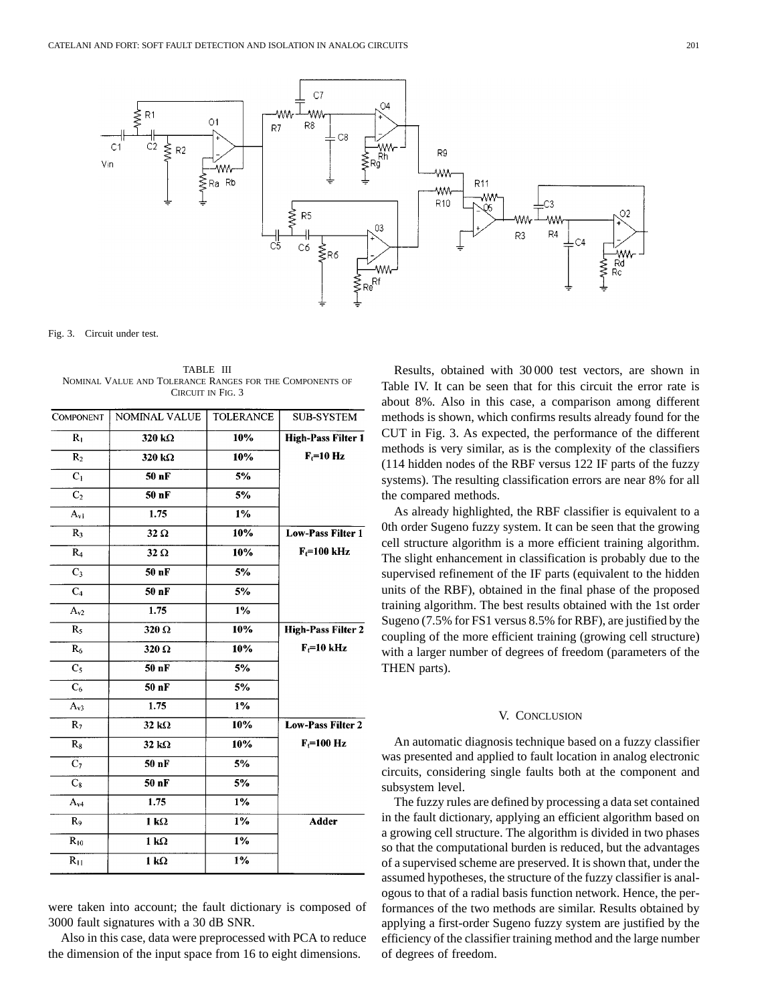

Fig. 3. Circuit under test.

TABLE III NOMINAL VALUE AND TOLERANCE RANGES FOR THE COMPONENTS OF CIRCUIT IN FIG. 3

| <b>COMPONENT</b> | NOMINAL VALUE        | <b>TOLERANCE</b> | <b>SUB-SYSTEM</b>         |
|------------------|----------------------|------------------|---------------------------|
| $R_1$            | 320 kΩ               | 10%              | <b>High-Pass Filter 1</b> |
| R <sub>2</sub>   | 320 k $\Omega$       | 10%              | $F_t = 10$ Hz             |
| C <sub>1</sub>   | $50$ nF              | 5%               |                           |
| C <sub>2</sub>   | $50$ nF              | 5%               |                           |
| $A_{v1}$         | 1.75                 | $1\%$            |                           |
| $R_3$            | $32 \Omega$          | 10%              | <b>Low-Pass Filter 1</b>  |
| R <sub>4</sub>   | $32\Omega$           | 10%              | $F_f = 100$ kHz           |
| $C_3$            | $50$ nF              | 5%               |                           |
| $C_4$            | 50 nF                | 5%               |                           |
| $A_{v2}$         | 1.75                 | 1%               |                           |
| R <sub>5</sub>   | 320 Ω                | 10%              | <b>High-Pass Filter 2</b> |
| $R_6$            | 320Ω                 | 10%              | $F_t = 10$ kHz            |
| $C_5$            | 50 nF                | 5%               |                           |
| $C_6$            | 50 nF                | 5%               |                           |
| $A_{v3}$         | 1.75                 | 1%               |                           |
| R <sub>7</sub>   | $32 k\Omega$         | 10%              | <b>Low-Pass Filter 2</b>  |
| $\mathbf{R}_8$   | $32 \text{ k}\Omega$ | 10%              | $F_t = 100$ Hz            |
| $\overline{C_7}$ | $50$ nF              | 5%               |                           |
| $C_8$            | 50 nF                | 5%               |                           |
| $A_{v4}$         | 1.75                 | $1\%$            |                           |
| R <sub>9</sub>   | $1 k\Omega$          | $1\%$            | Adder                     |
| $R_{10}$         | $1 \text{ k}\Omega$  | $1\%$            |                           |
| $R_{11}$         | $1 k\Omega$          | $1\%$            |                           |

were taken into account; the fault dictionary is composed of 3000 fault signatures with a 30 dB SNR.

Also in this case, data were preprocessed with PCA to reduce the dimension of the input space from 16 to eight dimensions.

Results, obtained with 30 000 test vectors, are shown in Table IV. It can be seen that for this circuit the error rate is about 8%. Also in this case, a comparison among different methods is shown, which confirms results already found for the CUT in Fig. 3. As expected, the performance of the different methods is very similar, as is the complexity of the classifiers (114 hidden nodes of the RBF versus 122 IF parts of the fuzzy systems). The resulting classification errors are near 8% for all the compared methods.

As already highlighted, the RBF classifier is equivalent to a 0th order Sugeno fuzzy system. It can be seen that the growing cell structure algorithm is a more efficient training algorithm. The slight enhancement in classification is probably due to the supervised refinement of the IF parts (equivalent to the hidden units of the RBF), obtained in the final phase of the proposed training algorithm. The best results obtained with the 1st order Sugeno (7.5% for FS1 versus 8.5% for RBF), are justified by the coupling of the more efficient training (growing cell structure) with a larger number of degrees of freedom (parameters of the THEN parts).

#### V. CONCLUSION

An automatic diagnosis technique based on a fuzzy classifier was presented and applied to fault location in analog electronic circuits, considering single faults both at the component and subsystem level.

The fuzzy rules are defined by processing a data set contained in the fault dictionary, applying an efficient algorithm based on a growing cell structure. The algorithm is divided in two phases so that the computational burden is reduced, but the advantages of a supervised scheme are preserved. It is shown that, under the assumed hypotheses, the structure of the fuzzy classifier is analogous to that of a radial basis function network. Hence, the performances of the two methods are similar. Results obtained by applying a first-order Sugeno fuzzy system are justified by the efficiency of the classifier training method and the large number of degrees of freedom.